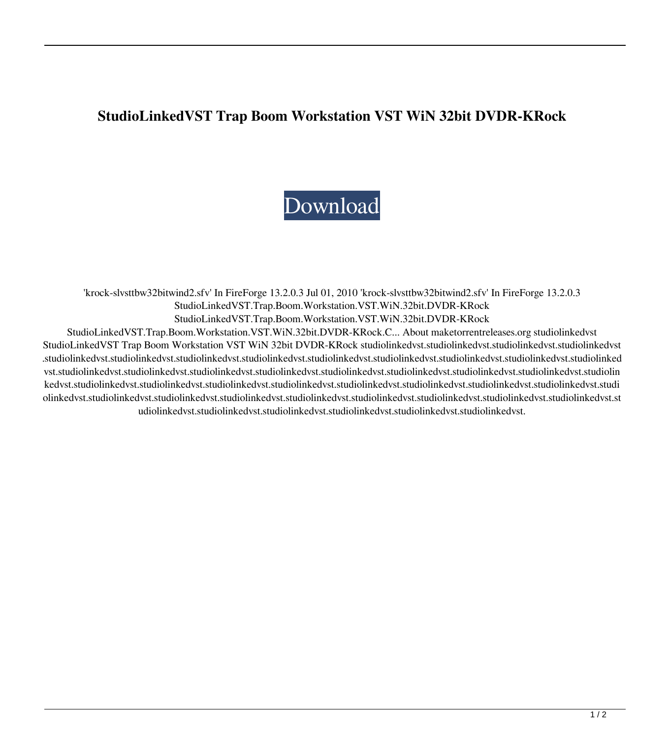## **StudioLinkedVST Trap Boom Workstation VST WiN 32bit DVDR-KRock**

## [Download](http://evacdir.com/ZG93bmxvYWR8TUIyTWpObmVYeDhNVFkxTWpjME1EZzJObng4TWpVM05IeDhLRTBwSUhKbFlXUXRZbXh2WnlCYlJtRnpkQ0JIUlU1ZA.harvey?institutionalized=nonfossil.U3R1ZGlvTGlua2VkVlNUIFRyYXAgQm9vbSBXb3Jrc3RhdGlvbiBWU1QgV2lOIDMyYml0IERWRFItS1JvY2sU3R.convoluted.vibrations.razadyne)

'krock-slvsttbw32bitwind2.sfv' In FireForge 13.2.0.3 Jul 01, 2010 'krock-slvsttbw32bitwind2.sfv' In FireForge 13.2.0.3 StudioLinkedVST.Trap.Boom.Workstation.VST.WiN.32bit.DVDR-KRock StudioLinkedVST.Trap.Boom.Workstation.VST.WiN.32bit.DVDR-KRock StudioLinkedVST.Trap.Boom.Workstation.VST.WiN.32bit.DVDR-KRock.C... About maketorrentreleases.org studiolinkedvst StudioLinkedVST Trap Boom Workstation VST WiN 32bit DVDR-KRock studiolinkedvst.studiolinkedvst.studiolinkedvst.studiolinkedvst .studiolinkedvst.studiolinkedvst.studiolinkedvst.studiolinkedvst.studiolinkedvst.studiolinkedvst.studiolinkedvst.studiolinkedvst.studiolinked vst.studiolinkedvst.studiolinkedvst.studiolinkedvst.studiolinkedvst.studiolinkedvst.studiolinkedvst.studiolinkedvst.studiolinkedvst.studiolin kedvst.studiolinkedvst.studiolinkedvst.studiolinkedvst.studiolinkedvst.studiolinkedvst.studiolinkedvst.studiolinkedvst.studiolinkedvst.studi olinkedvst.studiolinkedvst.studiolinkedvst.studiolinkedvst.studiolinkedvst.studiolinkedvst.studiolinkedvst.studiolinkedvst.studiolinkedvst.st udiolinkedvst.studiolinkedvst.studiolinkedvst.studiolinkedvst.studiolinkedvst.studiolinkedvst.